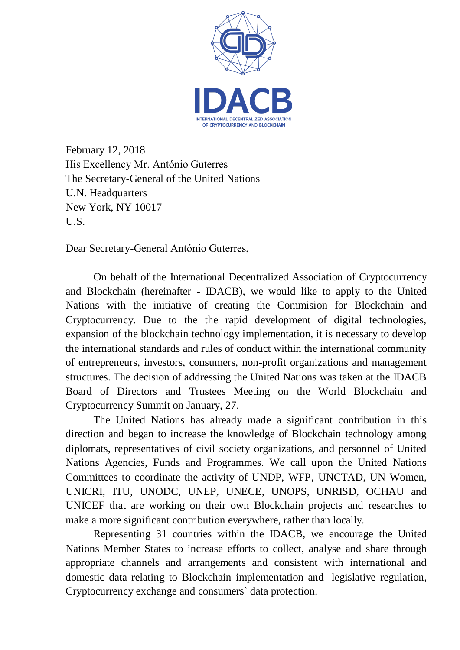

February 12, 2018 His Excellency Mr. António Guterres The Secretary-General of the United Nations U.N. Headquarters New York, NY 10017 U.S.

Dear Secretary-General António Guterres,

On behalf of the International Decentralized Association of Cryptocurrency and Blockchain (hereinafter - IDACB), we would like to apply to the United Nations with the initiative of creating the Commision for Blockchain and Cryptocurrency. Due to the the rapid development of digital technologies, expansion of the blockchain technology implementation, it is necessary to develop the international standards and rules of conduct within the international community of entrepreneurs, investors, consumers, non-profit organizations and management structures. The decision of addressing the United Nations was taken at the IDACB Board of Directors and Trustees Meeting on the World Blockchain and Cryptocurrency Summit on January, 27.

The United Nations has already made a significant contribution in this direction and began to increase the knowledge of Blockchain technology among diplomats, representatives of civil society organizations, and personnel of United Nations Agencies, Funds and Programmes. We call upon the United Nations Committees to coordinate the activity of UNDP, WFP, UNCTAD, UN Women, UNICRI, ITU, UNODC, UNEP, UNECE, UNOPS, UNRISD, OCHAU and UNICEF that are working on their own Blockchain projects and researches to make a more significant contribution everywhere, rather than locally.

Representing 31 countries within the IDACB, we encourage the United Nations Member States to increase efforts to collect, analyse and share through appropriate channels and arrangements and consistent with international and domestic data relating to Blockchain implementation and legislative regulation, Cryptocurrency exchange and consumers` data protection.